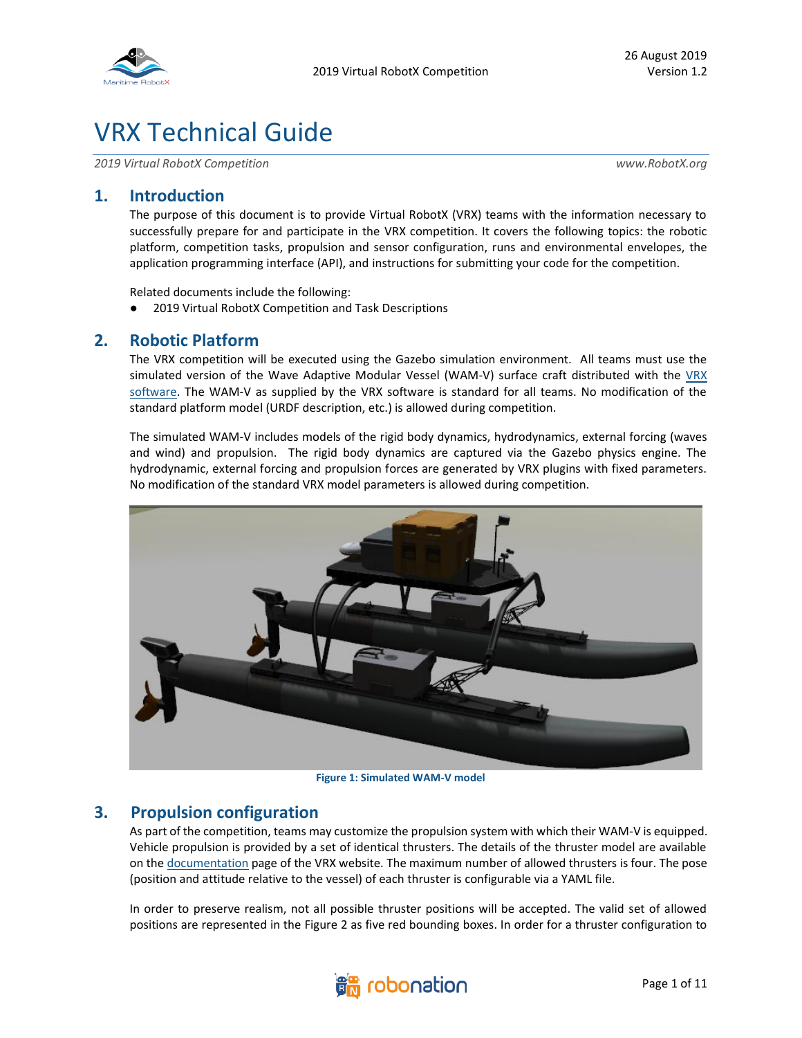

# VRX Technical Guide

*2019 Virtual RobotX Competition www.RobotX.org*

## **1. Introduction**

The purpose of this document is to provide Virtual RobotX (VRX) teams with the information necessary to successfully prepare for and participate in the VRX competition. It covers the following topics: the robotic platform, competition tasks, propulsion and sensor configuration, runs and environmental envelopes, the application programming interface (API), and instructions for submitting your code for the competition.

Related documents include the following:

● 2019 Virtual RobotX Competition and Task Descriptions

## **2. Robotic Platform**

The VRX competition will be executed using the Gazebo simulation environment. All teams must use the simulated version of the Wave Adaptive Modular Vessel (WAM-V) surface craft distributed with the [VRX](https://bitbucket.org/osrf/vrx/)  [software.](https://bitbucket.org/osrf/vrx/) The WAM-V as supplied by the VRX software is standard for all teams. No modification of the standard platform model (URDF description, etc.) is allowed during competition.

The simulated WAM-V includes models of the rigid body dynamics, hydrodynamics, external forcing (waves and wind) and propulsion. The rigid body dynamics are captured via the Gazebo physics engine. The hydrodynamic, external forcing and propulsion forces are generated by VRX plugins with fixed parameters. No modification of the standard VRX model parameters is allowed during competition.



**Figure 1: Simulated WAM-V model**

## **3. Propulsion configuration**

As part of the competition, teams may customize the propulsion system with which their WAM-V is equipped. Vehicle propulsion is provided by a set of identical thrusters. The details of the thruster model are available on th[e documentation](https://bitbucket.org/osrf/vrx/wiki/documentation) page of the VRX website. The maximum number of allowed thrusters is four. The pose (position and attitude relative to the vessel) of each thruster is configurable via a YAML file.

In order to preserve realism, not all possible thruster positions will be accepted. The valid set of allowed positions are represented in the Figure 2 as five red bounding boxes. In order for a thruster configuration to

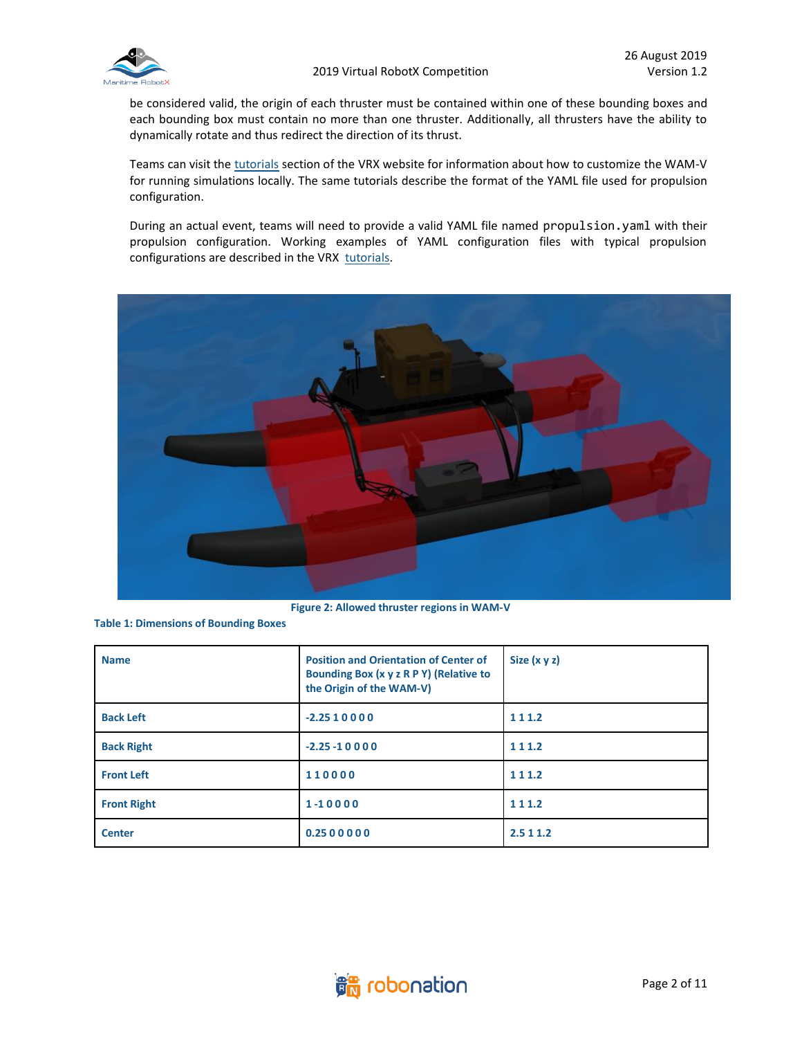

be considered valid, the origin of each thruster must be contained within one of these bounding boxes and each bounding box must contain no more than one thruster. Additionally, all thrusters have the ability to dynamically rotate and thus redirect the direction of its thrust.

Teams can visit the [tutorials](https://bitbucket.org/osrf/vrx/wiki/tutorials) section of the VRX website for information about how to customize the WAM-V for running simulations locally. The same tutorials describe the format of the YAML file used for propulsion configuration.

During an actual event, teams will need to provide a valid YAML file named propulsion.yaml with their propulsion configuration. Working examples of YAML configuration files with typical propulsion configurations are described in the VRX [tutorials.](https://bitbucket.org/osrf/vrx/wiki/tutorials)



**Figure 2: Allowed thruster regions in WAM-V**

**Table 1: Dimensions of Bounding Boxes**

| <b>Name</b>        | <b>Position and Orientation of Center of</b><br>Bounding Box (x y z R P Y) (Relative to<br>the Origin of the WAM-V) | Size $(x \vee z)$ |
|--------------------|---------------------------------------------------------------------------------------------------------------------|-------------------|
| <b>Back Left</b>   | $-2.2510000$                                                                                                        | 111.2             |
| <b>Back Right</b>  | $-2.25 - 10000$                                                                                                     | 111.2             |
| <b>Front Left</b>  | 110000                                                                                                              | 111.2             |
| <b>Front Right</b> | 1-10000                                                                                                             | 111.2             |
| <b>Center</b>      | 0.2500000                                                                                                           | 2.5 1 1.2         |

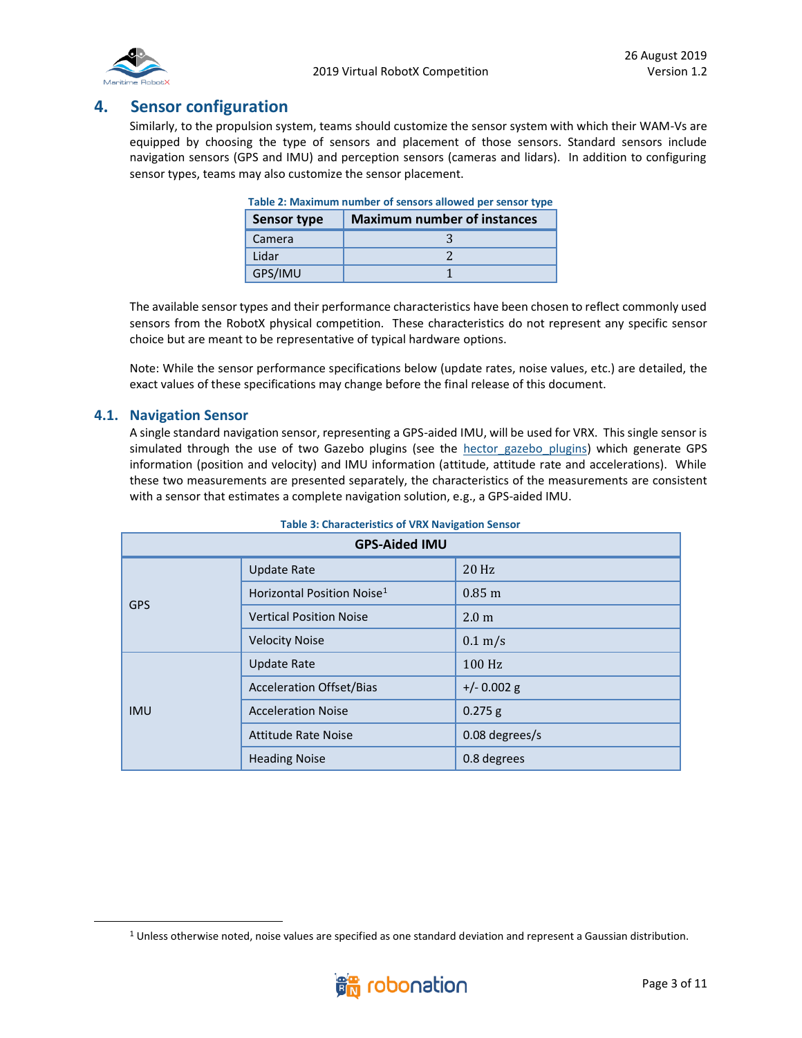

## **4. Sensor configuration**

Similarly, to the propulsion system, teams should customize the sensor system with which their WAM-Vs are equipped by choosing the type of sensors and placement of those sensors. Standard sensors include navigation sensors (GPS and IMU) and perception sensors (cameras and lidars). In addition to configuring sensor types, teams may also customize the sensor placement.

| Table 2: Maximum number of sensors allowed per sensor type |  |
|------------------------------------------------------------|--|
| <b>Maximum number of instances</b><br><b>Sensor type</b>   |  |
| Camera                                                     |  |
| Lidar                                                      |  |
| GPS/IMU                                                    |  |

| Table 2: Maximum number of sensors allowed per sensor type |
|------------------------------------------------------------|
|                                                            |

The available sensor types and their performance characteristics have been chosen to reflect commonly used sensors from the RobotX physical competition. These characteristics do not represent any specific sensor choice but are meant to be representative of typical hardware options.

Note: While the sensor performance specifications below (update rates, noise values, etc.) are detailed, the exact values of these specifications may change before the final release of this document.

#### **4.1. Navigation Sensor**

A single standard navigation sensor, representing a GPS-aided IMU, will be used for VRX. This single sensor is simulated through the use of two Gazebo plugins (see the hector gazebo plugins) which generate GPS information (position and velocity) and IMU information (attitude, attitude rate and accelerations). While these two measurements are presented separately, the characteristics of the measurements are consistent with a sensor that estimates a complete navigation solution, e.g., a GPS-aided IMU.

| <b>GPS-Aided IMU</b> |                                        |                      |
|----------------------|----------------------------------------|----------------------|
| <b>GPS</b>           | <b>Update Rate</b>                     | $20$ Hz              |
|                      | Horizontal Position Noise <sup>1</sup> | $0.85 \; \mathrm{m}$ |
|                      | <b>Vertical Position Noise</b>         | 2.0 <sub>m</sub>     |
|                      | <b>Velocity Noise</b>                  | $0.1 \text{ m/s}$    |
| <b>IMU</b>           | <b>Update Rate</b>                     | $100$ Hz             |
|                      | <b>Acceleration Offset/Bias</b>        | $+/- 0.002$ g        |
|                      | <b>Acceleration Noise</b>              | $0.275$ g            |
|                      | <b>Attitude Rate Noise</b>             | 0.08 degrees/s       |
|                      | <b>Heading Noise</b>                   | 0.8 degrees          |

 $1$  Unless otherwise noted, noise values are specified as one standard deviation and represent a Gaussian distribution.

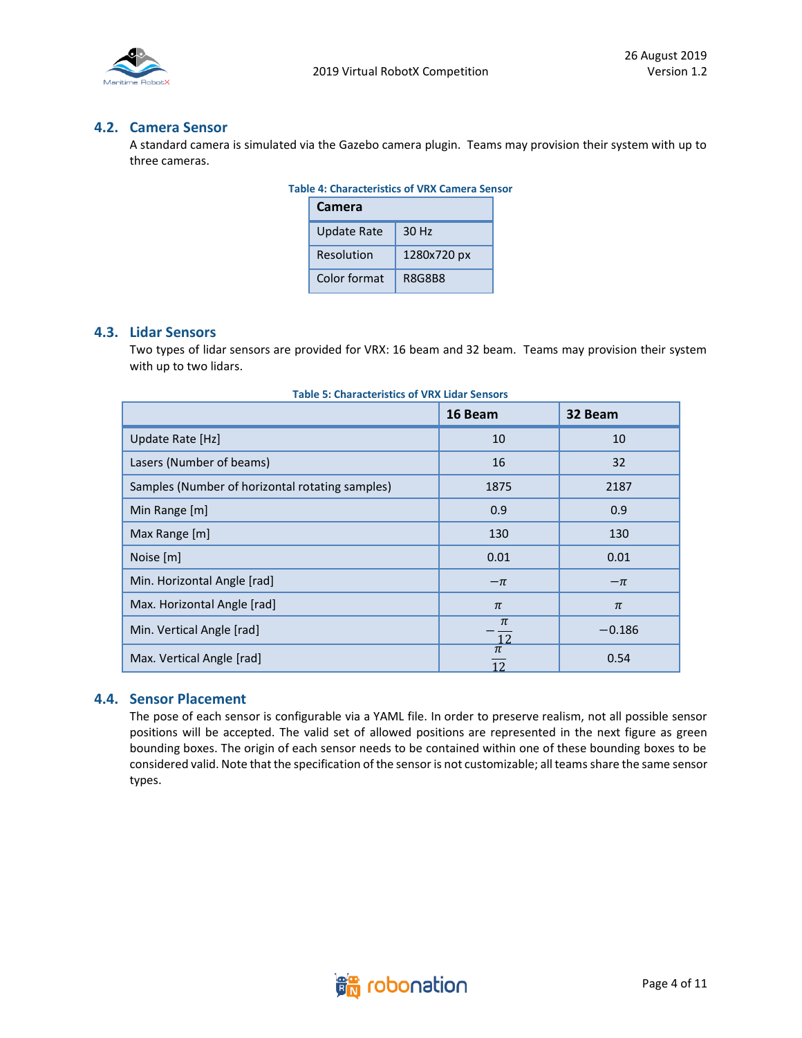

#### **4.2. Camera Sensor**

A standard camera is simulated via the Gazebo camera plugin. Teams may provision their system with up to three cameras.

| <b>Table 4: Characteristics of VRX Camera Sensor</b> |              |             |  |
|------------------------------------------------------|--------------|-------------|--|
|                                                      | Camera       |             |  |
|                                                      | Update Rate  | 30 Hz       |  |
|                                                      | Resolution   | 1280x720 px |  |
|                                                      | Color format | R8G8B8      |  |

## **4.3. Lidar Sensors**

Two types of lidar sensors are provided for VRX: 16 beam and 32 beam. Teams may provision their system with up to two lidars.

|                                                 | 16 Beam                   | 32 Beam  |
|-------------------------------------------------|---------------------------|----------|
| Update Rate [Hz]                                | 10                        | 10       |
| Lasers (Number of beams)                        | 16                        | 32       |
| Samples (Number of horizontal rotating samples) | 1875                      | 2187     |
| Min Range [m]                                   | 0.9                       | 0.9      |
| Max Range [m]                                   | 130                       | 130      |
| Noise [m]                                       | 0.01                      | 0.01     |
| Min. Horizontal Angle [rad]                     | $-\pi$                    | $-\pi$   |
| Max. Horizontal Angle [rad]                     | $\pi$                     | $\pi$    |
| Min. Vertical Angle [rad]                       | $\pi$<br>$\frac{12}{\pi}$ | $-0.186$ |
| Max. Vertical Angle [rad]                       | 12                        | 0.54     |

#### **4.4. Sensor Placement**

The pose of each sensor is configurable via a YAML file. In order to preserve realism, not all possible sensor positions will be accepted. The valid set of allowed positions are represented in the next figure as green bounding boxes. The origin of each sensor needs to be contained within one of these bounding boxes to be considered valid. Note that the specification of the sensor is not customizable; all teams share the same sensor types.

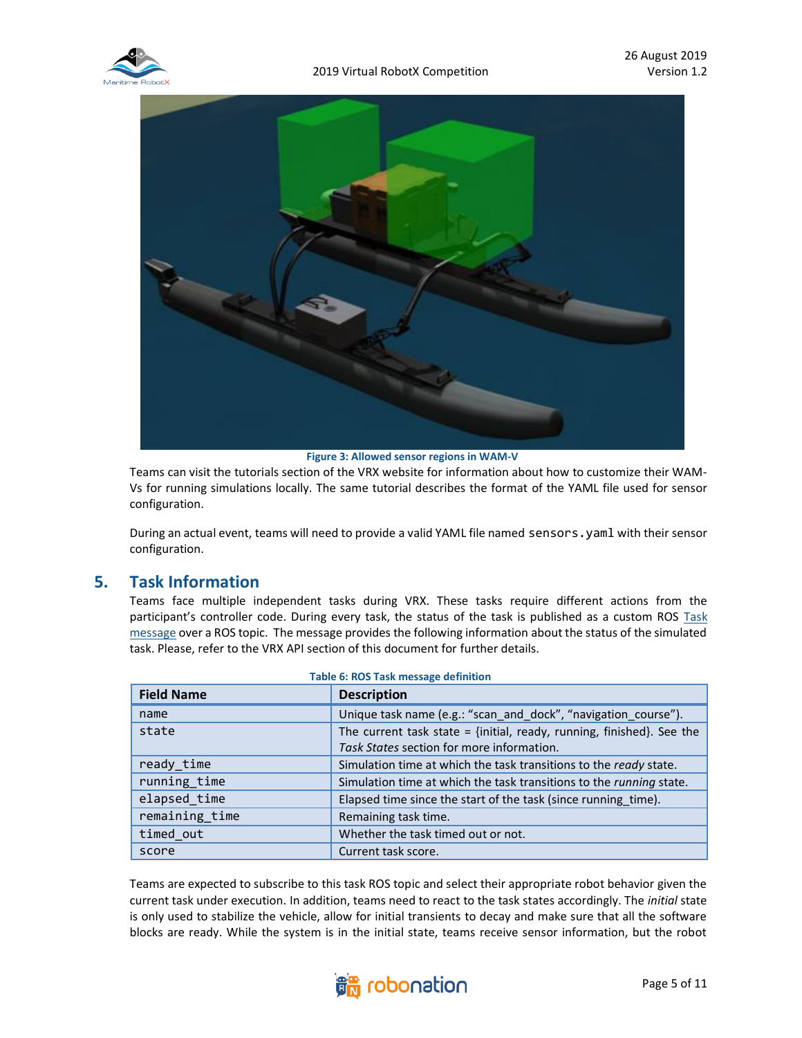



**Figure 3: Allowed sensor regions in WAM-V**

Teams can visit the tutorials section of the VRX website for information about how to customize their WAM-Vs for running simulations locally. The same tutorial describes the format of the YAML file used for sensor configuration.

During an actual event, teams will need to provide a valid YAML file named sensors.yaml with their sensor configuration.

## **5. Task Information**

Teams face multiple independent tasks during VRX. These tasks require different actions from the participant's controller code. During every task, the status of the task is published as a custom ROS Task [message](https://bitbucket.org/osrf/vrx/src/default/vrx_gazebo/msg/Task.msg) over a ROS topic. The message provides the following information about the status of the simulated task. Please, refer to the VRX API section of this document for further details.

| <b>Field Name</b> | <b>Description</b>                                                                                                 |
|-------------------|--------------------------------------------------------------------------------------------------------------------|
| name              | Unique task name (e.g.: "scan and dock", "navigation course").                                                     |
| state             | The current task state = {initial, ready, running, finished}. See the<br>Task States section for more information. |
| ready time        | Simulation time at which the task transitions to the ready state.                                                  |
| running_time      | Simulation time at which the task transitions to the <i>running</i> state.                                         |
| elapsed time      | Elapsed time since the start of the task (since running time).                                                     |
| remaining_time    | Remaining task time.                                                                                               |
| timed out         | Whether the task timed out or not.                                                                                 |
| score             | Current task score.                                                                                                |

#### **Table 6: ROS Task message definition**

Teams are expected to subscribe to this task ROS topic and select their appropriate robot behavior given the current task under execution. In addition, teams need to react to the task states accordingly. The *initial* state is only used to stabilize the vehicle, allow for initial transients to decay and make sure that all the software blocks are ready. While the system is in the initial state, teams receive sensor information, but the robot

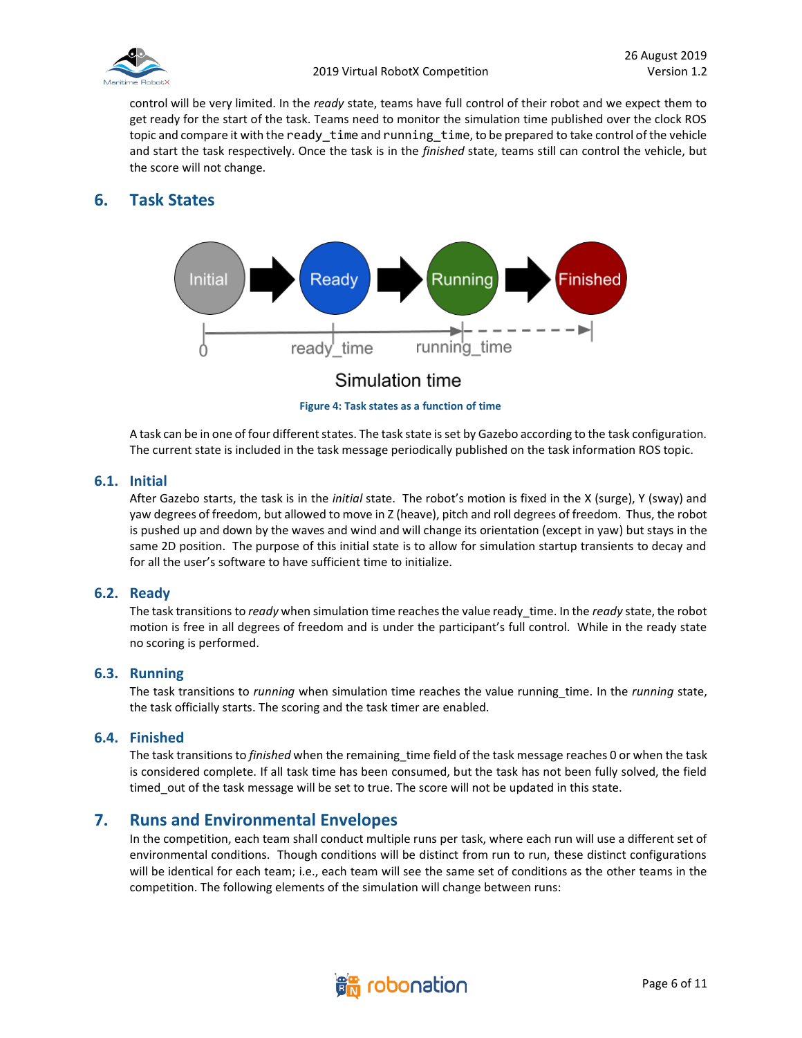

control will be very limited. In the *ready* state, teams have full control of their robot and we expect them to get ready for the start of the task. Teams need to monitor the simulation time published over the clock ROS topic and compare it with the ready\_time and running\_time, to be prepared to take control of the vehicle and start the task respectively. Once the task is in the *finished* state, teams still can control the vehicle, but the score will not change.

## **6. Task States**



**Figure 4: Task states as a function of time**

A task can be in one of four different states. The task state is set by Gazebo according to the task configuration. The current state is included in the task message periodically published on the task information ROS topic.

#### **6.1. Initial**

After Gazebo starts, the task is in the *initial* state. The robot's motion is fixed in the X (surge), Y (sway) and yaw degrees of freedom, but allowed to move in Z (heave), pitch and roll degrees of freedom. Thus, the robot is pushed up and down by the waves and wind and will change its orientation (except in yaw) but stays in the same 2D position. The purpose of this initial state is to allow for simulation startup transients to decay and for all the user's software to have sufficient time to initialize.

#### **6.2. Ready**

The task transitions to *ready* when simulation time reaches the value ready\_time. In the *ready* state, the robot motion is free in all degrees of freedom and is under the participant's full control. While in the ready state no scoring is performed.

#### **6.3. Running**

The task transitions to *running* when simulation time reaches the value running\_time. In the *running* state, the task officially starts. The scoring and the task timer are enabled.

#### **6.4. Finished**

The task transitions to *finished* when the remaining\_time field of the task message reaches 0 or when the task is considered complete. If all task time has been consumed, but the task has not been fully solved, the field timed out of the task message will be set to true. The score will not be updated in this state.

## **7. Runs and Environmental Envelopes**

In the competition, each team shall conduct multiple runs per task, where each run will use a different set of environmental conditions. Though conditions will be distinct from run to run, these distinct configurations will be identical for each team; i.e., each team will see the same set of conditions as the other teams in the competition. The following elements of the simulation will change between runs:

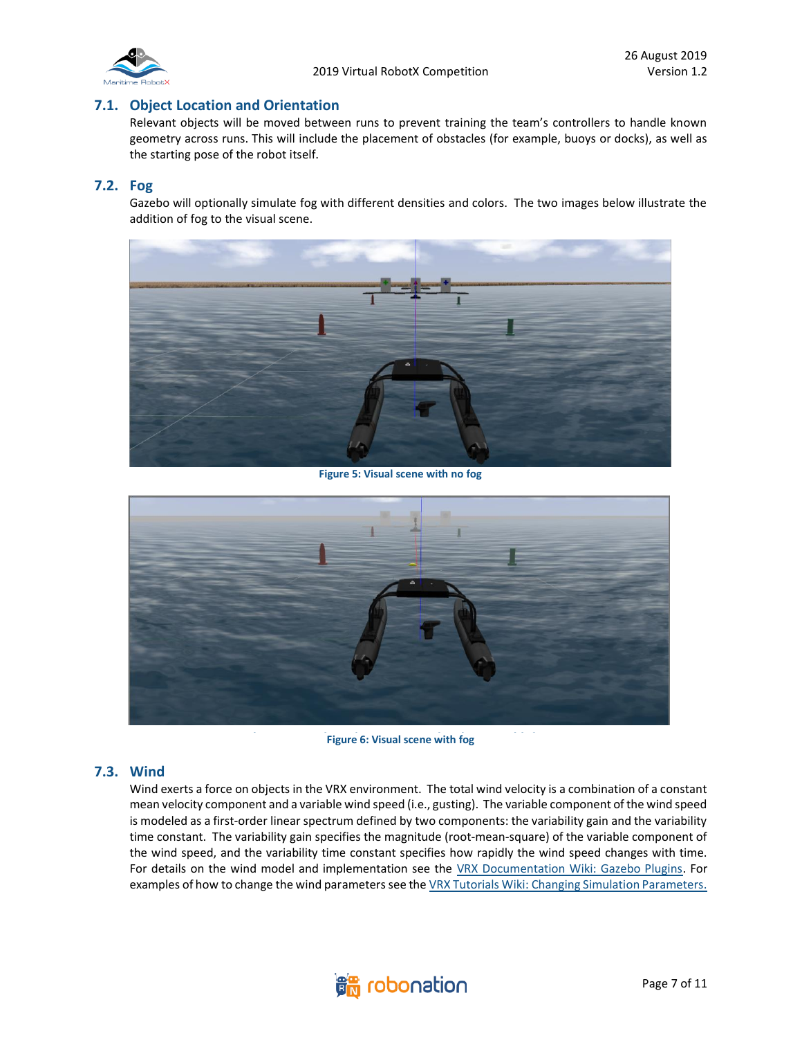

#### **7.1. Object Location and Orientation**

Relevant objects will be moved between runs to prevent training the team's controllers to handle known geometry across runs. This will include the placement of obstacles (for example, buoys or docks), as well as the starting pose of the robot itself.

#### **7.2. Fog**

Gazebo will optionally simulate fog with different densities and colors. The two images below illustrate the addition of fog to the visual scene.



**Figure 5: Visual scene with no fog**



**Figure 6: Visual scene with fog** 

#### **7.3. Wind**

Wind exerts a force on objects in the VRX environment. The total wind velocity is a combination of a constant mean velocity component and a variable wind speed (i.e., gusting). The variable component of the wind speed is modeled as a first-order linear spectrum defined by two components: the variability gain and the variability time constant. The variability gain specifies the magnitude (root-mean-square) of the variable component of the wind speed, and the variability time constant specifies how rapidly the wind speed changes with time. For details on the wind model and implementation see the [VRX Documentation Wiki: Gazebo Plugins.](https://bitbucket.org/osrf/vrx/wiki/VRXGazeboPlugins) For examples of how to change the wind parameters see the VRX Tutorials Wiki: Changing Simulation Parameters.

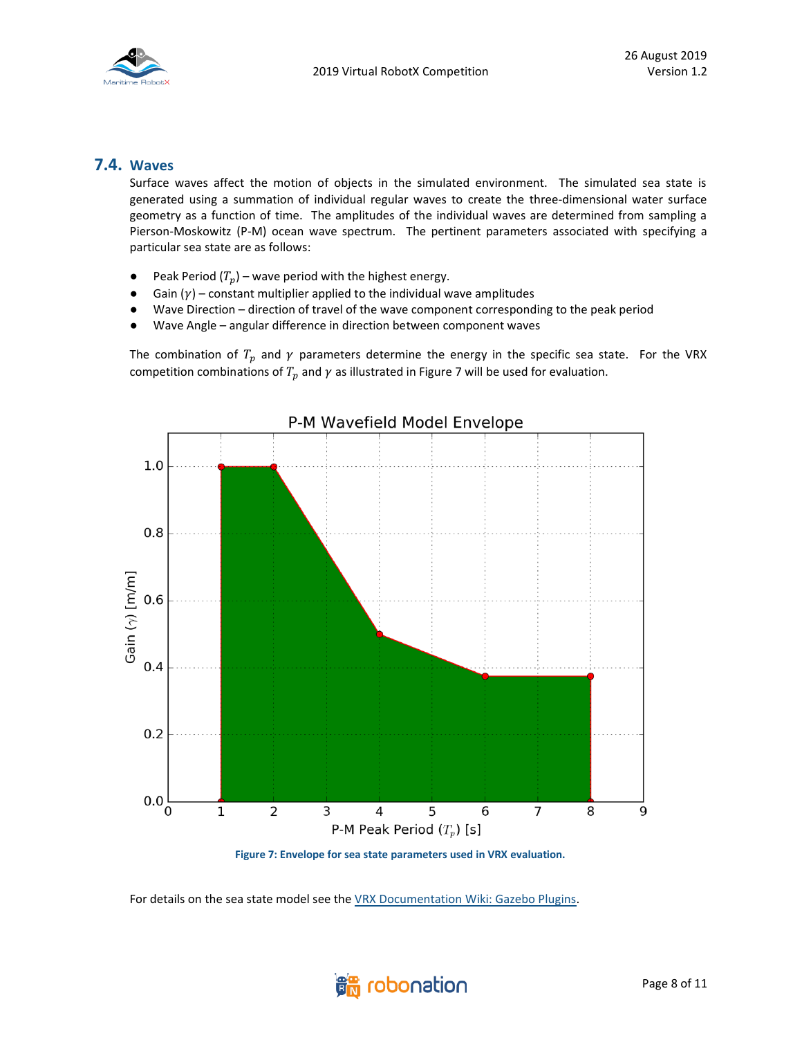

### **7.4. Waves**

Surface waves affect the motion of objects in the simulated environment. The simulated sea state is generated using a summation of individual regular waves to create the three-dimensional water surface geometry as a function of time. The amplitudes of the individual waves are determined from sampling a Pierson-Moskowitz (P-M) ocean wave spectrum. The pertinent parameters associated with specifying a particular sea state are as follows:

- Peak Period  $(T_p)$  wave period with the highest energy.
- Gain  $(y)$  constant multiplier applied to the individual wave amplitudes
- Wave Direction direction of travel of the wave component corresponding to the peak period
- Wave Angle angular difference in direction between component waves

The combination of  $T_p$  and  $\gamma$  parameters determine the energy in the specific sea state. For the VRX competition combinations of  $T_p$  and  $\gamma$  as illustrated in Figure 7 will be used for evaluation.



**Figure 7: Envelope for sea state parameters used in VRX evaluation.**

For details on the sea state model see the [VRX Documentation Wiki: Gazebo Plugins.](https://bitbucket.org/osrf/vrx/wiki/VRXGazeboPlugins)

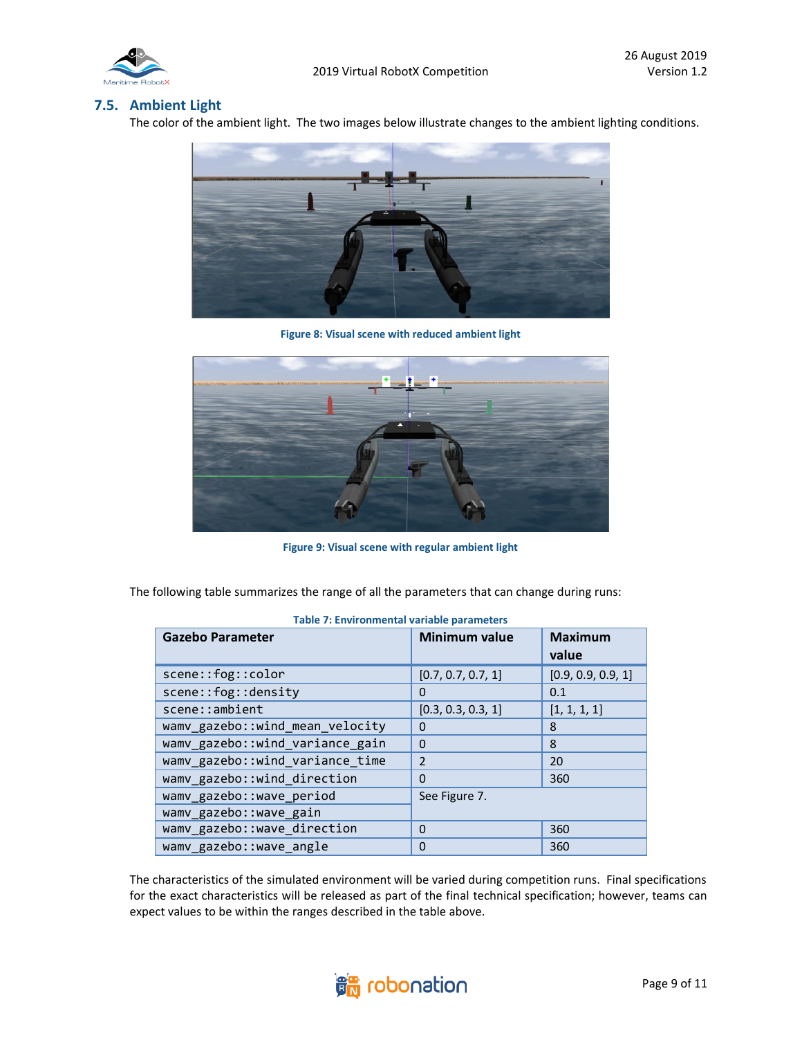

#### **7.5. Ambient Light**

The color of the ambient light. The two images below illustrate changes to the ambient lighting conditions.



**Figure 8: Visual scene with reduced ambient light**



**Figure 9: Visual scene with regular ambient light**

The following table summarizes the range of all the parameters that can change during runs:

| <b>Gazebo Parameter</b>         | <b>Minimum value</b> | <b>Maximum</b><br>value |  |
|---------------------------------|----------------------|-------------------------|--|
| scene::fog::color               | [0.7, 0.7, 0.7, 1]   | [0.9, 0.9, 0.9, 1]      |  |
| scene::fog::density             | 0                    | 0.1                     |  |
| scene::ambient                  | [0.3, 0.3, 0.3, 1]   | [1, 1, 1, 1]            |  |
| wamv_gazebo::wind_mean_velocity | 0                    | 8                       |  |
| wamv_gazebo::wind_variance_gain | 0                    | 8                       |  |
| wamv_gazebo::wind_variance_time | $\overline{2}$       | 20                      |  |
| wamv_gazebo::wind_direction     | $\Omega$             | 360                     |  |
| wamv_gazebo::wave_period        | See Figure 7.        |                         |  |
| wamv gazebo:: wave gain         |                      |                         |  |
| wamv_gazebo::wave_direction     | 0                    | 360                     |  |
| wamv gazebo:: wave_angle        | $\Omega$             | 360                     |  |

**Table 7: Environmental variable parameters** 

The characteristics of the simulated environment will be varied during competition runs. Final specifications for the exact characteristics will be released as part of the final technical specification; however, teams can expect values to be within the ranges described in the table above.

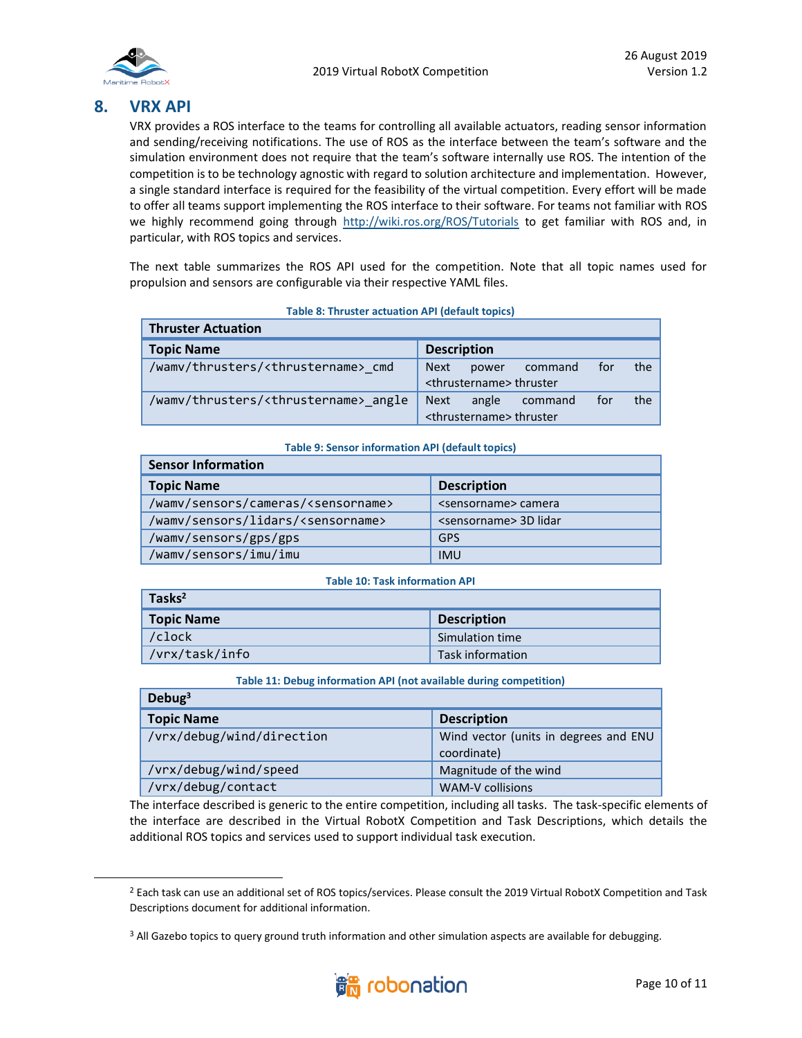

## **8. VRX API**

**Tasks<sup>2</sup>**

VRX provides a ROS interface to the teams for controlling all available actuators, reading sensor information and sending/receiving notifications. The use of ROS as the interface between the team's software and the simulation environment does not require that the team's software internally use ROS. The intention of the competition is to be technology agnostic with regard to solution architecture and implementation. However, a single standard interface is required for the feasibility of the virtual competition. Every effort will be made to offer all teams support implementing the ROS interface to their software. For teams not familiar with ROS we highly recommend going through<http://wiki.ros.org/ROS/Tutorials> to get familiar with ROS and, in particular, with ROS topics and services.

The next table summarizes the ROS API used for the competition. Note that all topic names used for propulsion and sensors are configurable via their respective YAML files.

| <b>Thruster Actuation</b>                            |                                                                                         |  |
|------------------------------------------------------|-----------------------------------------------------------------------------------------|--|
| <b>Topic Name</b>                                    | <b>Description</b>                                                                      |  |
| /wamv/thrusters/ <thrustername> cmd</thrustername>   | <b>Next</b><br>the<br>for<br>command<br>power<br><thrustername> thruster</thrustername> |  |
| /wamv/thrusters/ <thrustername> angle</thrustername> | <b>Next</b><br>the<br>angle<br>for<br>command<br><thrustername> thruster</thrustername> |  |

#### **Table 9: Sensor information API (default topics)**

| <b>Sensor Information</b>                        |                                    |  |
|--------------------------------------------------|------------------------------------|--|
| <b>Topic Name</b>                                | <b>Description</b>                 |  |
| /wamv/sensors/cameras/ <sensorname></sensorname> | <sensorname> camera</sensorname>   |  |
| /wamv/sensors/lidars/ <sensorname></sensorname>  | <sensorname> 3D lidar</sensorname> |  |
| /wamv/sensors/gps/gps                            | <b>GPS</b>                         |  |
| /wamv/sensors/imu/imu                            | <b>IMU</b>                         |  |

#### **Table 10: Task information API**

| Tasks-            |                    |
|-------------------|--------------------|
| <b>Topic Name</b> | <b>Description</b> |
| /clock            | Simulation time    |
| /vrx/task/info    | Task information   |

#### **Table 11: Debug information API (not available during competition)**

| Debug $3$                 |                                                      |  |
|---------------------------|------------------------------------------------------|--|
| <b>Topic Name</b>         | <b>Description</b>                                   |  |
| /vrx/debug/wind/direction | Wind vector (units in degrees and ENU<br>coordinate) |  |
| /vrx/debug/wind/speed     | Magnitude of the wind                                |  |
| /vrx/debug/contact        | <b>WAM-V</b> collisions                              |  |

The interface described is generic to the entire competition, including all tasks. The task-specific elements of the interface are described in the Virtual RobotX Competition and Task Descriptions, which details the additional ROS topics and services used to support individual task execution.

<sup>&</sup>lt;sup>3</sup> All Gazebo topics to query ground truth information and other simulation aspects are available for debugging.



<sup>&</sup>lt;sup>2</sup> Each task can use an additional set of ROS topics/services. Please consult the 2019 Virtual RobotX Competition and Task Descriptions document for additional information.